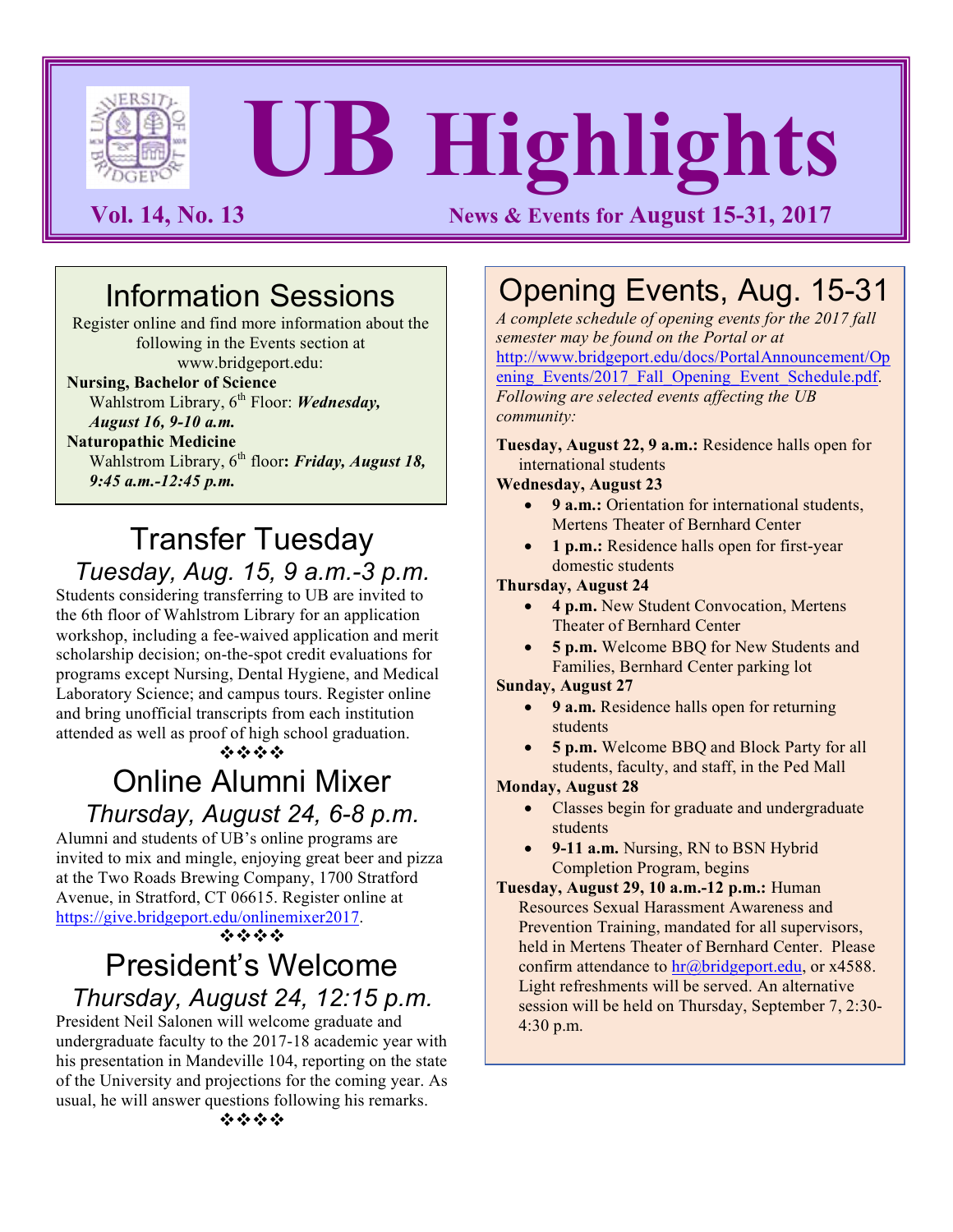

# **UB Highlights**

**Vol. 14, No. 13 News & Events for August 15-31, 2017** 

# Information Sessions

Register online and find more information about the following in the Events section at www.bridgeport.edu:

## **Nursing, Bachelor of Science**

Wahlstrom Library, 6<sup>th</sup> Floor: *Wednesday*, *August 16, 9-10 a.m.*

**Naturopathic Medicine**

Wahlstrom Library, 6<sup>th</sup> floor: Friday, August 18, *9:45 a.m.-12:45 p.m.*

# Transfer Tuesday *Tuesday, Aug. 15, 9 a.m.-3 p.m.*

Students considering transferring to UB are invited to the 6th floor of Wahlstrom Library for an application workshop, including a fee-waived application and merit scholarship decision; on-the-spot credit evaluations for programs except Nursing, Dental Hygiene, and Medical Laboratory Science; and campus tours. Register online and bring unofficial transcripts from each institution attended as well as proof of high school graduation.

 $\phi$  via  $\phi$ 

# Online Alumni Mixer

*Thursday, August 24, 6-8 p.m.* Alumni and students of UB's online programs are

invited to mix and mingle, enjoying great beer and pizza at the Two Roads Brewing Company, 1700 Stratford Avenue, in Stratford, CT 06615. Register online at https://give.bridgeport.edu/onlinemixer2017.

 $\mathbf{v}_i$  via  $\mathbf{v}_i$  via

## President's Welcome *Thursday, August 24, 12:15 p.m.*

President Neil Salonen will welcome graduate and undergraduate faculty to the 2017-18 academic year with his presentation in Mandeville 104, reporting on the state of the University and projections for the coming year. As usual, he will answer questions following his remarks.

Opening Events, Aug. 15-31

*A complete schedule of opening events for the 2017 fall semester may be found on the Portal or at* http://www.bridgeport.edu/docs/PortalAnnouncement/Op ening\_Events/2017\_Fall\_Opening\_Event\_Schedule.pdf. *Following are selected events affecting the UB community:*

**Tuesday, August 22, 9 a.m.:** Residence halls open for international students

#### **Wednesday, August 23**

- **9 a.m.:** Orientation for international students, Mertens Theater of Bernhard Center
- 1 p.m.: Residence halls open for first-year domestic students

#### **Thursday, August 24**

- **4 p.m.** New Student Convocation, Mertens Theater of Bernhard Center
- **5 p.m.** Welcome BBQ for New Students and Families, Bernhard Center parking lot

#### **Sunday, August 27**

- **9 a.m.** Residence halls open for returning students
- **5 p.m.** Welcome BBQ and Block Party for all students, faculty, and staff, in the Ped Mall

#### **Monday, August 28**

- Classes begin for graduate and undergraduate students
- **9-11 a.m.** Nursing, RN to BSN Hybrid Completion Program, begins
- **Tuesday, August 29, 10 a.m.-12 p.m.:** Human Resources Sexual Harassment Awareness and Prevention Training, mandated for all supervisors, held in Mertens Theater of Bernhard Center. Please confirm attendance to hr@bridgeport.edu, or x4588. Light refreshments will be served. An alternative session will be held on Thursday, September 7, 2:30- 4:30 p.m.